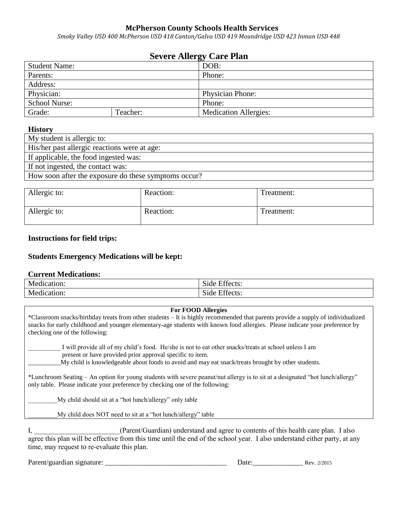# **McPherson County Schools Health Services**

*Smoky Valley USD 400 McPherson USD 418 Canton/Galva USD 419 Moundridge USD 423 Inman USD 448*  $\overline{a}$ 

## **Severe Allergy Care Plan**

| ື                    |          |                              |
|----------------------|----------|------------------------------|
| <b>Student Name:</b> |          | DOB:                         |
| Parents:             |          | Phone:                       |
| Address:             |          |                              |
| Physician:           |          | <b>Physician Phone:</b>      |
| <b>School Nurse:</b> |          | Phone:                       |
| Grade:               | Teacher: | <b>Medication Allergies:</b> |

#### **History**

| My student is allergic to:                           |
|------------------------------------------------------|
| His/her past allergic reactions were at age:         |
| If applicable, the food ingested was:                |
| If not ingested, the contact was:                    |
| How soon after the exposure do these symptoms occur? |
|                                                      |

| Allergic to: | Reaction: | Treatment: |
|--------------|-----------|------------|
| Allergic to: | Reaction: | Treatment: |

### **Instructions for field trips:**

### **Students Emergency Medications will be kept:**

### **Current Medications:**

| Medication: | $\mathbf{r}$<br>$\sim$<br>Effects:<br>Side. |
|-------------|---------------------------------------------|
| Medication: | $\sim$<br>$\blacksquare$<br>Side Effects:   |

### **For FOOD Allergies**

\*Classroom snacks/birthday treats from other students – It is highly recommended that parents provide a supply of individualized snacks for early childhood and younger elementary-age students with known food allergies. Please indicate your preference by checking one of the following:

I will provide all of my child's food. He/she is not to eat other snacks/treats at school unless I am present or have provided prior approval specific to item.

 $M_y$  child is knowledgeable about foods to avoid and may eat snack/treats brought by other students.

\*Lunchroom Seating – An option for young students with severe peanut/nut allergy is to sit at a designated "hot lunch/allergy" only table. Please indicate your preference by checking one of the following:

My child should sit at a "hot lunch/allergy" only table

\_\_\_\_\_\_\_\_\_My child does NOT need to sit at a "hot lunch/allergy" table

I, **Example 20** (Parent/Guardian) understand and agree to contents of this health care plan. I also agree this plan will be effective from this time until the end of the school year. I also understand either party, at any time, may request to re-evaluate this plan.

Parent/guardian signature:

| Date: |  | Rev. 2/2015 |
|-------|--|-------------|
|-------|--|-------------|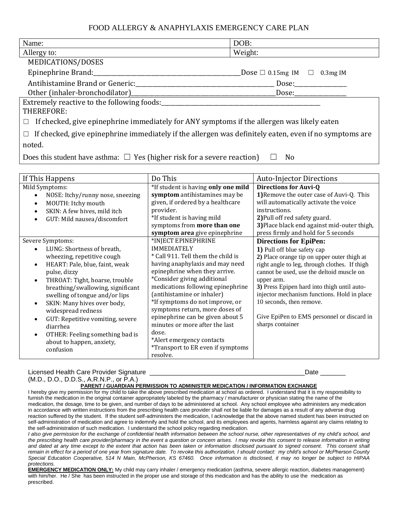## FOOD ALLERGY & ANAPHYLAXIS EMERGENCY CARE PLAN

| Name:                                                                                                  | DOB:                                           |  |
|--------------------------------------------------------------------------------------------------------|------------------------------------------------|--|
| Allergy to:                                                                                            | Weight:                                        |  |
| MEDICATIONS/DOSES                                                                                      |                                                |  |
| Epinephrine Brand:                                                                                     | Dose $\Box$ 0.15mg IM<br>$0.3$ mg IM<br>$\Box$ |  |
| Antihistamine Brand or Generic:                                                                        | Dose:                                          |  |
| Other (inhaler-bronchodilator)                                                                         | Dose:                                          |  |
| Extremely reactive to the following foods:<br>THEREFORE:                                               |                                                |  |
| If checked, give epinephrine immediately for ANY symptoms if the allergen was likely eaten             |                                                |  |
| If checked, give epinephrine immediately if the allergen was definitely eaten, even if no symptoms are |                                                |  |
| noted.                                                                                                 |                                                |  |

Does this student have asthma:  $\Box$  Yes (higher risk for a severe reaction)  $\Box$  No

| If This Happens                                                                                                                                                                                                                                                                                                                                                                                                                                     | Do This                                                                                                                                                                                                                                                                                                                                                                                                                                                                                 | <b>Auto-Injector Directions</b>                                                                                                                                                                                                                                                                                                                                                                                     |
|-----------------------------------------------------------------------------------------------------------------------------------------------------------------------------------------------------------------------------------------------------------------------------------------------------------------------------------------------------------------------------------------------------------------------------------------------------|-----------------------------------------------------------------------------------------------------------------------------------------------------------------------------------------------------------------------------------------------------------------------------------------------------------------------------------------------------------------------------------------------------------------------------------------------------------------------------------------|---------------------------------------------------------------------------------------------------------------------------------------------------------------------------------------------------------------------------------------------------------------------------------------------------------------------------------------------------------------------------------------------------------------------|
| Mild Symptoms:<br>NOSE: Itchy/runny nose, sneezing<br>MOUTH: Itchy mouth<br>$\bullet$<br>SKIN: A few hives, mild itch<br>GUT: Mild nausea/discomfort<br>$\bullet$                                                                                                                                                                                                                                                                                   | *If student is having only one mild<br>symptom antihistamines may be<br>given, if ordered by a healthcare<br>provider.<br>*If student is having mild<br>symptoms from more than one<br>symptom area give epinephrine                                                                                                                                                                                                                                                                    | <b>Directions for Auvi-Q</b><br>1) Remove the outer case of Auvi-Q. This<br>will automatically activate the voice<br>instructions.<br>2) Pull off red safety guard.<br>3) Place black end against mid-outer thigh,<br>press firmly and hold for 5 seconds                                                                                                                                                           |
| Severe Symptoms:<br>LUNG: Shortness of breath,<br>wheezing, repetitive cough<br>HEART: Pale, blue, faint, weak<br>$\bullet$<br>pulse, dizzy<br>THROAT: Tight, hoarse, trouble<br>$\bullet$<br>breathing/swallowing, significant<br>swelling of tongue and/or lips<br>SKIN: Many hives over body,<br>widespread redness<br>GUT: Repetitive vomiting, severe<br>diarrhea<br>OTHER: Feeling something bad is<br>about to happen, anxiety,<br>confusion | *INJECT EPINEPHRINE<br><b>IMMEDIATELY</b><br>* Call 911. Tell them the child is<br>having anaphylaxis and may need<br>epinephrine when they arrive.<br>*Consider giving additional<br>medications following epinephrine<br>(antihistamine or inhaler)<br>*If symptoms do not improve, or<br>symptoms return, more doses of<br>epinephrine can be given about 5<br>minutes or more after the last<br>dose.<br>*Alert emergency contacts<br>*Transport to ER even if symptoms<br>resolve. | <b>Directions for EpiPen:</b><br>1) Pull off blue safety cap<br>2) Place orange tip on upper outer thigh at<br>right angle to leg, through clothes. If thigh<br>cannot be used, use the deltoid muscle on<br>upper arm.<br>3) Press Epipen hard into thigh until auto-<br>injector mechanism functions. Hold in place<br>10 seconds, then remove.<br>Give EpiPen to EMS personnel or discard in<br>sharps container |

#### Licensed Health Care Provider Signature \_\_\_\_\_\_\_\_\_\_\_\_\_\_\_\_\_\_\_\_\_\_\_\_\_\_\_\_\_\_\_\_\_\_\_\_\_\_\_\_\_\_\_Date \_\_\_\_\_\_\_

(M.D., D.O., D.D.S., A.R.N.P., or P.A.)

**PARENT / GUARDIAN PERMISSION TO ADMINISTER MEDICATION / INFORMATION EXCHANGE** I hereby give my permission for my child to take the above prescribed medication at school as ordered. I understand that it is my responsibility to furnish the medication in the original container appropriately labeled by the pharmacy / manufacturer or physician stating the name of the medication, the dosage, time to be given, and number of days to be administered at school. Any school employee who administers any medication in accordance with written instructions from the prescribing health care provider shall not be liable for damages as a result of any adverse drug reaction suffered by the student. If the student self-administers the medication, I acknowledge that the above named student has been instructed on self-administration of medication and agree to indemnify and hold the school, and its employees and agents, harmless against any claims relating to the self-administration of such medication. I understand the school policy regarding medication.

*I also give permission for the exchange of confidential health information between the school nurse, other representatives of my child's school, and the prescribing health care provider/pharmacy in the event a question or concern arises. I may revoke this consent to release information in writing*  and dated at any time except to the extent that action has been taken or information disclosed pursuant to signed consent. This consent shall *remain in effect for a period of one year from signature date. To revoke this authorization, I should contact: my child's school or McPherson County Special Education Cooperative, 514 N Main, McPherson, KS 67460. Once information is disclosed, it may no longer be subject to HIPAA protections.* 

**EMERGENCY MEDICATION ONLY:** My child may carry inhaler / emergency medication (asthma, severe allergic reaction, diabetes management) with him/her. He / She has been instructed in the proper use and storage of this medication and has the ability to use the medication as prescribed.